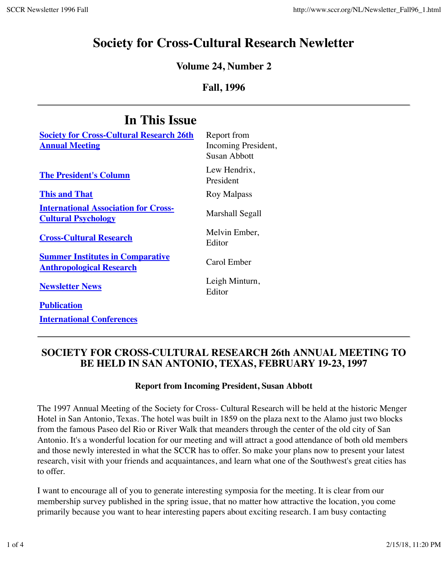# **Society for Cross-Cultural Research Newletter**

#### **Volume 24, Number 2**

#### **Fall, 1996**

| <b>In This Issue</b>                                                       |                                                           |
|----------------------------------------------------------------------------|-----------------------------------------------------------|
| <b>Society for Cross-Cultural Research 26th</b><br><b>Annual Meeting</b>   | Report from<br>Incoming President,<br><b>Susan Abbott</b> |
| <b>The President's Column</b>                                              | Lew Hendrix,<br>President                                 |
| <b>This and That</b>                                                       | Roy Malpass                                               |
| <b>International Association for Cross-</b><br><b>Cultural Psychology</b>  | Marshall Segall                                           |
| <b>Cross-Cultural Research</b>                                             | Melvin Ember,<br>Editor                                   |
| <b>Summer Institutes in Comparative</b><br><b>Anthropological Research</b> | Carol Ember                                               |
| <b>Newsletter News</b>                                                     | Leigh Minturn,<br>Editor                                  |
| <b>Publication</b>                                                         |                                                           |
| <b>International Conferences</b>                                           |                                                           |

### **SOCIETY FOR CROSS-CULTURAL RESEARCH 26th ANNUAL MEETING TO BE HELD IN SAN ANTONIO, TEXAS, FEBRUARY 19-23, 1997**

#### **Report from Incoming President, Susan Abbott**

The 1997 Annual Meeting of the Society for Cross- Cultural Research will be held at the historic Menger Hotel in San Antonio, Texas. The hotel was built in 1859 on the plaza next to the Alamo just two blocks from the famous Paseo del Rio or River Walk that meanders through the center of the old city of San Antonio. It's a wonderful location for our meeting and will attract a good attendance of both old members and those newly interested in what the SCCR has to offer. So make your plans now to present your latest research, visit with your friends and acquaintances, and learn what one of the Southwest's great cities has to offer.

I want to encourage all of you to generate interesting symposia for the meeting. It is clear from our membership survey published in the spring issue, that no matter how attractive the location, you come primarily because you want to hear interesting papers about exciting research. I am busy contacting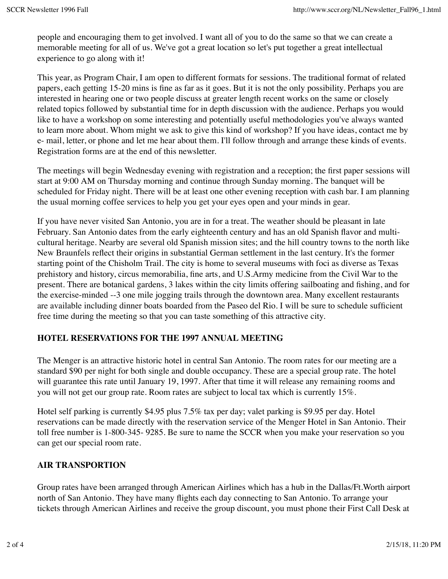people and encouraging them to get involved. I want all of you to do the same so that we can create a memorable meeting for all of us. We've got a great location so let's put together a great intellectual experience to go along with it!

This year, as Program Chair, I am open to different formats for sessions. The traditional format of related papers, each getting 15-20 mins is fine as far as it goes. But it is not the only possibility. Perhaps you are interested in hearing one or two people discuss at greater length recent works on the same or closely related topics followed by substantial time for in depth discussion with the audience. Perhaps you would like to have a workshop on some interesting and potentially useful methodologies you've always wanted to learn more about. Whom might we ask to give this kind of workshop? If you have ideas, contact me by e- mail, letter, or phone and let me hear about them. I'll follow through and arrange these kinds of events. Registration forms are at the end of this newsletter.

The meetings will begin Wednesday evening with registration and a reception; the first paper sessions will start at 9:00 AM on Thursday morning and continue through Sunday morning. The banquet will be scheduled for Friday night. There will be at least one other evening reception with cash bar. I am planning the usual morning coffee services to help you get your eyes open and your minds in gear.

If you have never visited San Antonio, you are in for a treat. The weather should be pleasant in late February. San Antonio dates from the early eighteenth century and has an old Spanish flavor and multicultural heritage. Nearby are several old Spanish mission sites; and the hill country towns to the north like New Braunfels reflect their origins in substantial German settlement in the last century. It's the former starting point of the Chisholm Trail. The city is home to several museums with foci as diverse as Texas prehistory and history, circus memorabilia, fine arts, and U.S.Army medicine from the Civil War to the present. There are botanical gardens, 3 lakes within the city limits offering sailboating and fishing, and for the exercise-minded --3 one mile jogging trails through the downtown area. Many excellent restaurants are available including dinner boats boarded from the Paseo del Rio. I will be sure to schedule sufficient free time during the meeting so that you can taste something of this attractive city.

#### **HOTEL RESERVATIONS FOR THE 1997 ANNUAL MEETING**

The Menger is an attractive historic hotel in central San Antonio. The room rates for our meeting are a standard \$90 per night for both single and double occupancy. These are a special group rate. The hotel will guarantee this rate until January 19, 1997. After that time it will release any remaining rooms and you will not get our group rate. Room rates are subject to local tax which is currently 15%.

Hotel self parking is currently \$4.95 plus 7.5% tax per day; valet parking is \$9.95 per day. Hotel reservations can be made directly with the reservation service of the Menger Hotel in San Antonio. Their toll free number is 1-800-345- 9285. Be sure to name the SCCR when you make your reservation so you can get our special room rate.

#### **AIR TRANSPORTION**

Group rates have been arranged through American Airlines which has a hub in the Dallas/Ft.Worth airport north of San Antonio. They have many flights each day connecting to San Antonio. To arrange your tickets through American Airlines and receive the group discount, you must phone their First Call Desk at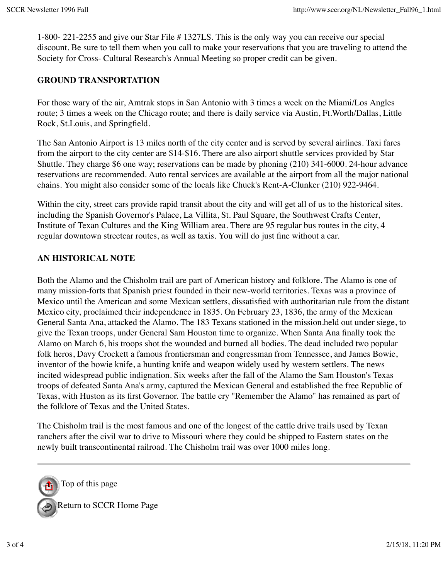1-800- 221-2255 and give our Star File # 1327LS. This is the only way you can receive our special discount. Be sure to tell them when you call to make your reservations that you are traveling to attend the Society for Cross- Cultural Research's Annual Meeting so proper credit can be given.

#### **GROUND TRANSPORTATION**

For those wary of the air, Amtrak stops in San Antonio with 3 times a week on the Miami/Los Angles route; 3 times a week on the Chicago route; and there is daily service via Austin, Ft.Worth/Dallas, Little Rock, St.Louis, and Springfield.

The San Antonio Airport is 13 miles north of the city center and is served by several airlines. Taxi fares from the airport to the city center are \$14-\$16. There are also airport shuttle services provided by Star Shuttle. They charge \$6 one way; reservations can be made by phoning (210) 341-6000. 24-hour advance reservations are recommended. Auto rental services are available at the airport from all the major national chains. You might also consider some of the locals like Chuck's Rent-A-Clunker (210) 922-9464.

Within the city, street cars provide rapid transit about the city and will get all of us to the historical sites. including the Spanish Governor's Palace, La Villita, St. Paul Square, the Southwest Crafts Center, Institute of Texan Cultures and the King William area. There are 95 regular bus routes in the city, 4 regular downtown streetcar routes, as well as taxis. You will do just fine without a car.

#### **AN HISTORICAL NOTE**

Both the Alamo and the Chisholm trail are part of American history and folklore. The Alamo is one of many mission-forts that Spanish priest founded in their new-world territories. Texas was a province of Mexico until the American and some Mexican settlers, dissatisfied with authoritarian rule from the distant Mexico city, proclaimed their independence in 1835. On February 23, 1836, the army of the Mexican General Santa Ana, attacked the Alamo. The 183 Texans stationed in the mission.held out under siege, to give the Texan troops, under General Sam Houston time to organize. When Santa Ana finally took the Alamo on March 6, his troops shot the wounded and burned all bodies. The dead included two popular folk heros, Davy Crockett a famous frontiersman and congressman from Tennessee, and James Bowie, inventor of the bowie knife, a hunting knife and weapon widely used by western settlers. The news incited widespread public indignation. Six weeks after the fall of the Alamo the Sam Houston's Texas troops of defeated Santa Ana's army, captured the Mexican General and established the free Republic of Texas, with Huston as its first Governor. The battle cry "Remember the Alamo" has remained as part of the folklore of Texas and the United States.

The Chisholm trail is the most famous and one of the longest of the cattle drive trails used by Texan ranchers after the civil war to drive to Missouri where they could be shipped to Eastern states on the newly built transcontinental railroad. The Chisholm trail was over 1000 miles long.

Top of this page Return to SCCR Home Page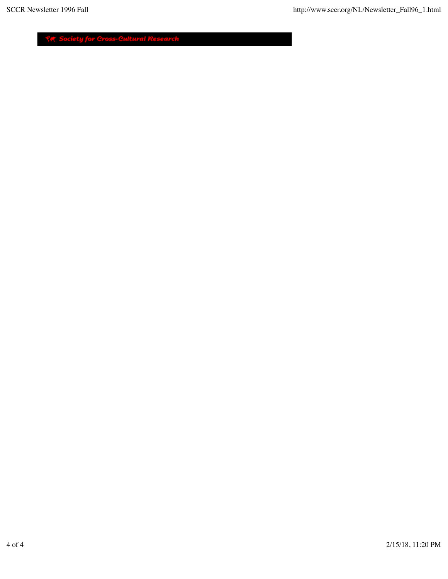**Society for Cross-Cultural Research** Г.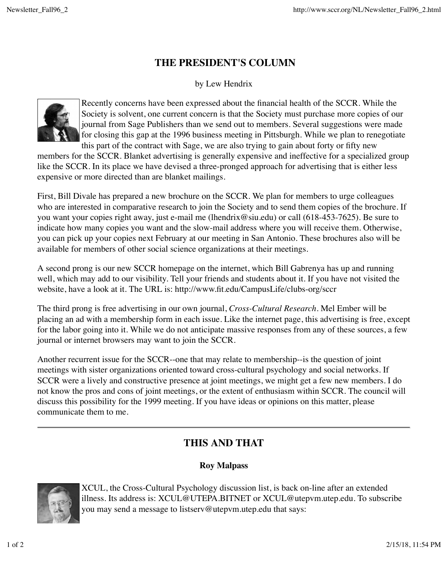## **THE PRESIDENT'S COLUMN**

#### by Lew Hendrix



Recently concerns have been expressed about the financial health of the SCCR. While the Society is solvent, one current concern is that the Society must purchase more copies of our journal from Sage Publishers than we send out to members. Several suggestions were made for closing this gap at the 1996 business meeting in Pittsburgh. While we plan to renegotiate this part of the contract with Sage, we are also trying to gain about forty or fifty new

members for the SCCR. Blanket advertising is generally expensive and ineffective for a specialized group like the SCCR. In its place we have devised a three-pronged approach for advertising that is either less expensive or more directed than are blanket mailings.

First, Bill Divale has prepared a new brochure on the SCCR. We plan for members to urge colleagues who are interested in comparative research to join the Society and to send them copies of the brochure. If you want your copies right away, just e-mail me (lhendrix@siu.edu) or call (618-453-7625). Be sure to indicate how many copies you want and the slow-mail address where you will receive them. Otherwise, you can pick up your copies next February at our meeting in San Antonio. These brochures also will be available for members of other social science organizations at their meetings.

A second prong is our new SCCR homepage on the internet, which Bill Gabrenya has up and running well, which may add to our visibility. Tell your friends and students about it. If you have not visited the website, have a look at it. The URL is: http://www.fit.edu/CampusLife/clubs-org/sccr

The third prong is free advertising in our own journal, *Cross-Cultural Research*. Mel Ember will be placing an ad with a membership form in each issue. Like the internet page, this advertising is free, except for the labor going into it. While we do not anticipate massive responses from any of these sources, a few journal or internet browsers may want to join the SCCR.

Another recurrent issue for the SCCR--one that may relate to membership--is the question of joint meetings with sister organizations oriented toward cross-cultural psychology and social networks. If SCCR were a lively and constructive presence at joint meetings, we might get a few new members. I do not know the pros and cons of joint meetings, or the extent of enthusiasm within SCCR. The council will discuss this possibility for the 1999 meeting. If you have ideas or opinions on this matter, please communicate them to me.

## **THIS AND THAT**

#### **Roy Malpass**



XCUL, the Cross-Cultural Psychology discussion list, is back on-line after an extended illness. Its address is: XCUL@UTEPA.BITNET or XCUL@utepvm.utep.edu. To subscribe you may send a message to listserv@utepvm.utep.edu that says: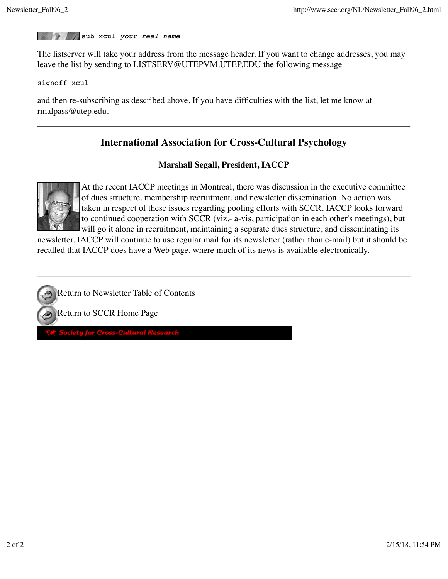sub xcul *your real name* 

The listserver will take your address from the message header. If you want to change addresses, you may leave the list by sending to LISTSERV@UTEPVM.UTEP.EDU the following message

signoff xcul

and then re-subscribing as described above. If you have difficulties with the list, let me know at rmalpass@utep.edu.

#### **International Association for Cross-Cultural Psychology**

**Marshall Segall, President, IACCP**



At the recent IACCP meetings in Montreal, there was discussion in the executive committee of dues structure, membership recruitment, and newsletter dissemination. No action was taken in respect of these issues regarding pooling efforts with SCCR. IACCP looks forward to continued cooperation with SCCR (viz.- a-vis, participation in each other's meetings), but will go it alone in recruitment, maintaining a separate dues structure, and disseminating its

newsletter. IACCP will continue to use regular mail for its newsletter (rather than e-mail) but it should be recalled that IACCP does have a Web page, where much of its news is available electronically.

Return to Newsletter Table of Contents Return to SCCR Home Page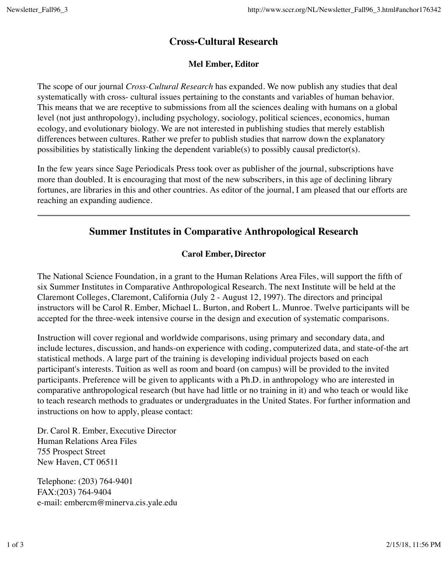## **Cross-Cultural Research**

#### **Mel Ember, Editor**

The scope of our journal *Cross-Cultural Research* has expanded. We now publish any studies that deal systematically with cross- cultural issues pertaining to the constants and variables of human behavior. This means that we are receptive to submissions from all the sciences dealing with humans on a global level (not just anthropology), including psychology, sociology, political sciences, economics, human ecology, and evolutionary biology. We are not interested in publishing studies that merely establish differences between cultures. Rather we prefer to publish studies that narrow down the explanatory possibilities by statistically linking the dependent variable(s) to possibly causal predictor(s).

In the few years since Sage Periodicals Press took over as publisher of the journal, subscriptions have more than doubled. It is encouraging that most of the new subscribers, in this age of declining library fortunes, are libraries in this and other countries. As editor of the journal, I am pleased that our efforts are reaching an expanding audience.

## **Summer Institutes in Comparative Anthropological Research**

#### **Carol Ember, Director**

The National Science Foundation, in a grant to the Human Relations Area Files, will support the fifth of six Summer Institutes in Comparative Anthropological Research. The next Institute will be held at the Claremont Colleges, Claremont, California (July 2 - August 12, 1997). The directors and principal instructors will be Carol R. Ember, Michael L. Burton, and Robert L. Munroe. Twelve participants will be accepted for the three-week intensive course in the design and execution of systematic comparisons.

Instruction will cover regional and worldwide comparisons, using primary and secondary data, and include lectures, discussion, and hands-on experience with coding, computerized data, and state-of-the art statistical methods. A large part of the training is developing individual projects based on each participant's interests. Tuition as well as room and board (on campus) will be provided to the invited participants. Preference will be given to applicants with a Ph.D. in anthropology who are interested in comparative anthropological research (but have had little or no training in it) and who teach or would like to teach research methods to graduates or undergraduates in the United States. For further information and instructions on how to apply, please contact:

Dr. Carol R. Ember, Executive Director Human Relations Area Files 755 Prospect Street New Haven, CT 06511

Telephone: (203) 764-9401 FAX:(203) 764-9404 e-mail: embercm@minerva.cis.yale.edu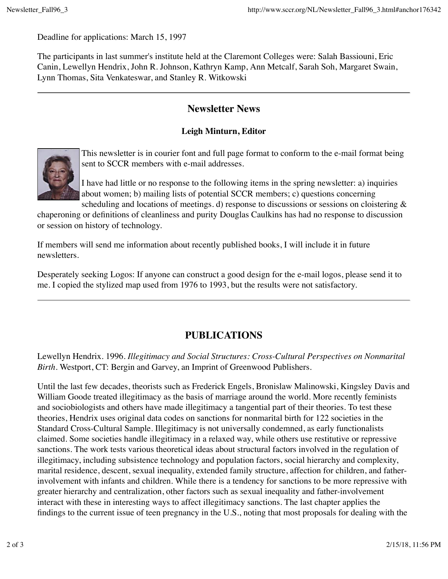Deadline for applications: March 15, 1997

The participants in last summer's institute held at the Claremont Colleges were: Salah Bassiouni, Eric Canin, Lewellyn Hendrix, John R. Johnson, Kathryn Kamp, Ann Metcalf, Sarah Soh, Margaret Swain, Lynn Thomas, Sita Venkateswar, and Stanley R. Witkowski

### **Newsletter News**

#### **Leigh Minturn, Editor**



This newsletter is in courier font and full page format to conform to the e-mail format being sent to SCCR members with e-mail addresses.

I have had little or no response to the following items in the spring newsletter: a) inquiries about women; b) mailing lists of potential SCCR members; c) questions concerning

scheduling and locations of meetings. d) response to discussions or sessions on cloistering  $\&$ chaperoning or definitions of cleanliness and purity Douglas Caulkins has had no response to discussion or session on history of technology.

If members will send me information about recently published books, I will include it in future newsletters.

Desperately seeking Logos: If anyone can construct a good design for the e-mail logos, please send it to me. I copied the stylized map used from 1976 to 1993, but the results were not satisfactory.

### **PUBLICATIONS**

Lewellyn Hendrix. 1996. *Illegitimacy and Social Structures: Cross-Cultural Perspectives on Nonmarital Birth.* Westport, CT: Bergin and Garvey, an Imprint of Greenwood Publishers.

Until the last few decades, theorists such as Frederick Engels, Bronislaw Malinowski, Kingsley Davis and William Goode treated illegitimacy as the basis of marriage around the world. More recently feminists and sociobiologists and others have made illegitimacy a tangential part of their theories. To test these theories, Hendrix uses original data codes on sanctions for nonmarital birth for 122 societies in the Standard Cross-Cultural Sample. Illegitimacy is not universally condemned, as early functionalists claimed. Some societies handle illegitimacy in a relaxed way, while others use restitutive or repressive sanctions. The work tests various theoretical ideas about structural factors involved in the regulation of illegitimacy, including subsistence technology and population factors, social hierarchy and complexity, marital residence, descent, sexual inequality, extended family structure, affection for children, and fatherinvolvement with infants and children. While there is a tendency for sanctions to be more repressive with greater hierarchy and centralization, other factors such as sexual inequality and father-involvement interact with these in interesting ways to affect illegitimacy sanctions. The last chapter applies the findings to the current issue of teen pregnancy in the U.S., noting that most proposals for dealing with the